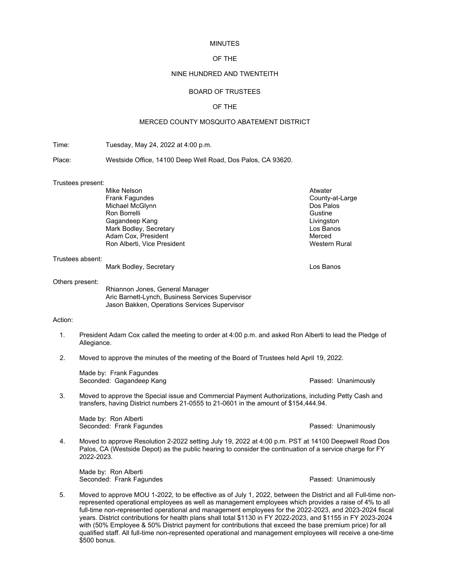### MINUTES

## OF THE

## NINE HUNDRED AND TWENTEITH

# BOARD OF TRUSTEES

# OF THE

# MERCED COUNTY MOSQUITO ABATEMENT DISTRICT

Time: Tuesday, May 24, 2022 at 4:00 p.m.

Place: Westside Office, 14100 Deep Well Road, Dos Palos, CA 93620.

#### Trustees present:

| Atwater              |
|----------------------|
| County-at-Large      |
| Dos Palos            |
| Gustine              |
| Livingston           |
| Los Banos            |
| Merced               |
| <b>Western Rural</b> |
|                      |

### Trustees absent:

Mark Bodley, Secretary **Los Banos** Los Banos

### Others present:

Rhiannon Jones, General Manager Aric Barnett-Lynch, Business Services Supervisor Jason Bakken, Operations Services Supervisor

# Action:

- 1. President Adam Cox called the meeting to order at 4:00 p.m. and asked Ron Alberti to lead the Pledge of Allegiance.
- 2. Moved to approve the minutes of the meeting of the Board of Trustees held April 19, 2022.

Made by: Frank Fagundes Seconded: Gagandeep Kang Passed: Unanimously

3. Moved to approve the Special issue and Commercial Payment Authorizations, including Petty Cash and transfers, having District numbers 21-0555 to 21-0601 in the amount of \$154,444.94.

Made by: Ron Alberti Seconded: Frank Fagundes **Passed: Unanimously** Passed: Unanimously

4. Moved to approve Resolution 2-2022 setting July 19, 2022 at 4:00 p.m. PST at 14100 Deepwell Road Dos Palos, CA (Westside Depot) as the public hearing to consider the continuation of a service charge for FY 2022-2023.

Made by: Ron Alberti Seconded: Frank Fagundes **Passed: Unanimously** Passed: Unanimously

5. Moved to approve MOU 1-2022, to be effective as of July 1, 2022, between the District and all Full-time nonrepresented operational employees as well as management employees which provides a raise of 4% to all full-time non-represented operational and management employees for the 2022-2023, and 2023-2024 fiscal years. District contributions for health plans shall total \$1130 in FY 2022-2023, and \$1155 in FY 2023-2024 with (50% Employee & 50% District payment for contributions that exceed the base premium price) for all qualified staff. All full-time non-represented operational and management employees will receive a one-time \$500 bonus.